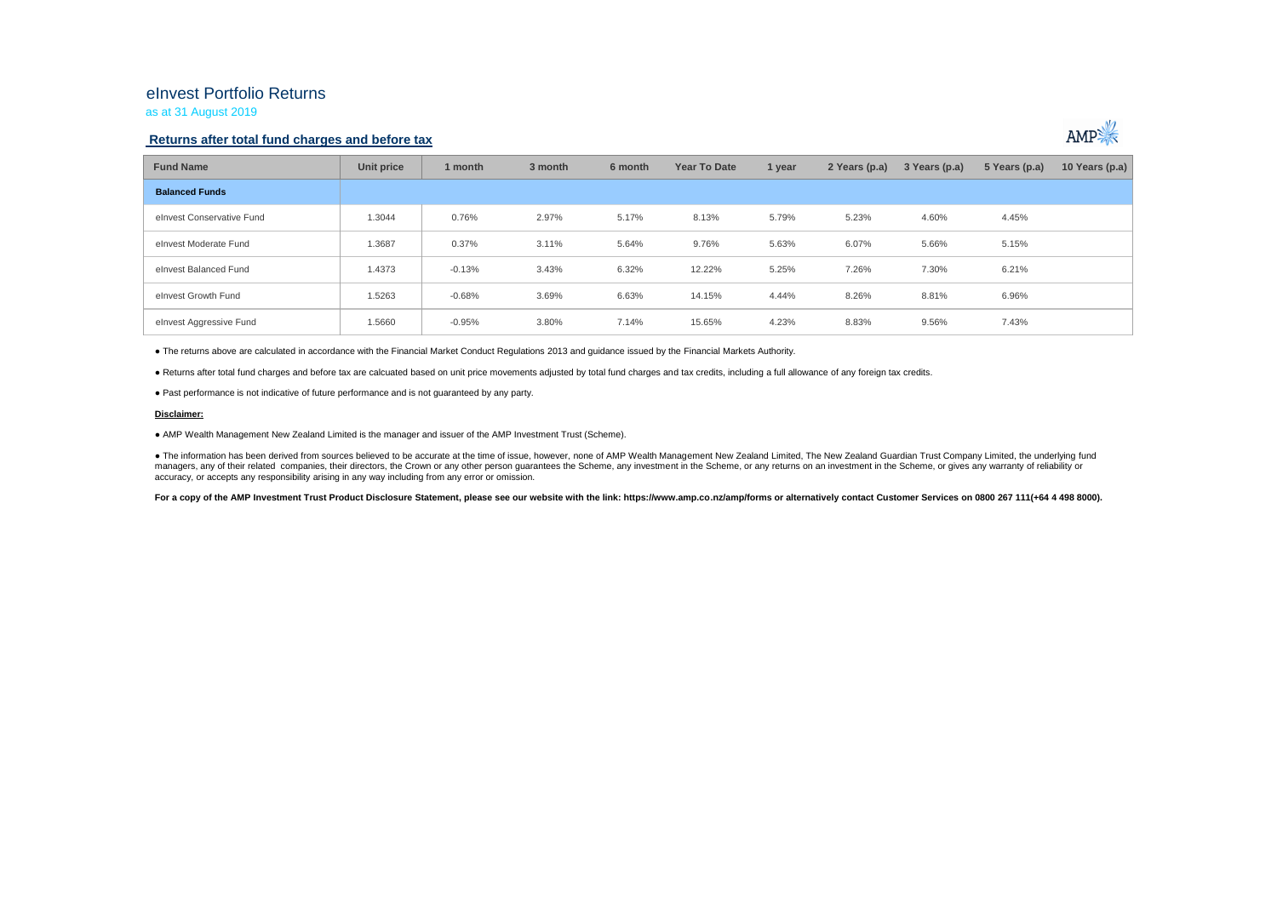# eInvest Portfolio Returns

as at 31 August 2019

### **Returns after total fund charges and before tax**



| <b>Fund Name</b>          | Unit price | 1 month  | 3 month | 6 month | Year To Date | 1 year | 2 Years (p.a) | 3 Years (p.a) | 5 Years (p.a) | 10 Years (p.a) |
|---------------------------|------------|----------|---------|---------|--------------|--------|---------------|---------------|---------------|----------------|
| <b>Balanced Funds</b>     |            |          |         |         |              |        |               |               |               |                |
| elnvest Conservative Fund | 1.3044     | 0.76%    | 2.97%   | 5.17%   | 8.13%        | 5.79%  | 5.23%         | 4.60%         | 4.45%         |                |
| elnyest Moderate Fund     | 1.3687     | 0.37%    | 3.11%   | 5.64%   | 9.76%        | 5.63%  | 6.07%         | 5.66%         | 5.15%         |                |
| elnyest Balanced Fund     | 1.4373     | $-0.13%$ | 3.43%   | 6.32%   | 12.22%       | 5.25%  | 7.26%         | 7.30%         | 6.21%         |                |
| elnyest Growth Fund       | 1.5263     | $-0.68%$ | 3.69%   | 6.63%   | 14.15%       | 4.44%  | 8.26%         | 8.81%         | 6.96%         |                |
| elnvest Aggressive Fund   | 1.5660     | $-0.95%$ | 3.80%   | 7.14%   | 15.65%       | 4.23%  | 8.83%         | 9.56%         | 7.43%         |                |

● The returns above are calculated in accordance with the Financial Market Conduct Regulations 2013 and guidance issued by the Financial Markets Authority.

● Returns after total fund charges and before tax are calcuated based on unit price movements adjusted by total fund charges and tax credits, including a full allowance of any foreign tax credits.

● Past performance is not indicative of future performance and is not guaranteed by any party.

#### **Disclaimer:**

● AMP Wealth Management New Zealand Limited is the manager and issuer of the AMP Investment Trust (Scheme).

● The information has been derived from sources believed to be accurate at the time of issue, however, none of AMP Wealth Management New Zealand Limited, The New Zealand Guardian Trust Company Limited, the underlying fund managers, any of their related companies, their directors, the Crown or any other person quarantees the Scheme, any investment in the Scheme, or any returns on an investment in the Scheme, or qives any warranty of reliabil accuracy, or accepts any responsibility arising in any way including from any error or omission.

For a copy of the AMP Investment Trust Product Disclosure Statement, please see our website with the link: https://www.amp.co.nz/amp/forms or alternatively contact Customer Services on 0800 267 111(+64 4 498 8000).